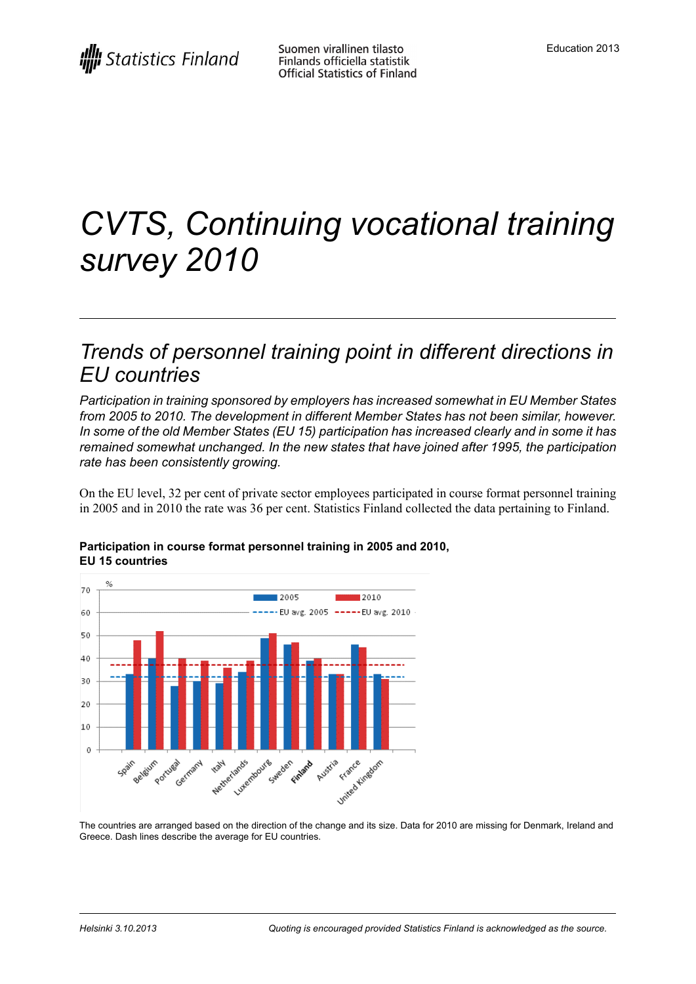# *CVTS, Continuing vocational training survey 2010*

### *Trends of personnel training point in different directions in EU countries*

*Participation in training sponsored by employers has increased somewhat in EU Member States from 2005 to 2010. The development in different Member States has not been similar, however. In some of the old Member States (EU 15) participation has increased clearly and in some it has remained somewhat unchanged. In the new states that have joined after 1995, the participation rate has been consistently growing.*

On the EU level, 32 per cent of private sector employees participated in course format personnel training in 2005 and in 2010 the rate was 36 per cent. Statistics Finland collected the data pertaining to Finland.



#### **Participation in course format personnel training in 2005 and 2010, EU 15 countries**

The countries are arranged based on the direction of the change and its size. Data for 2010 are missing for Denmark, Ireland and Greece. Dash lines describe the average for EU countries.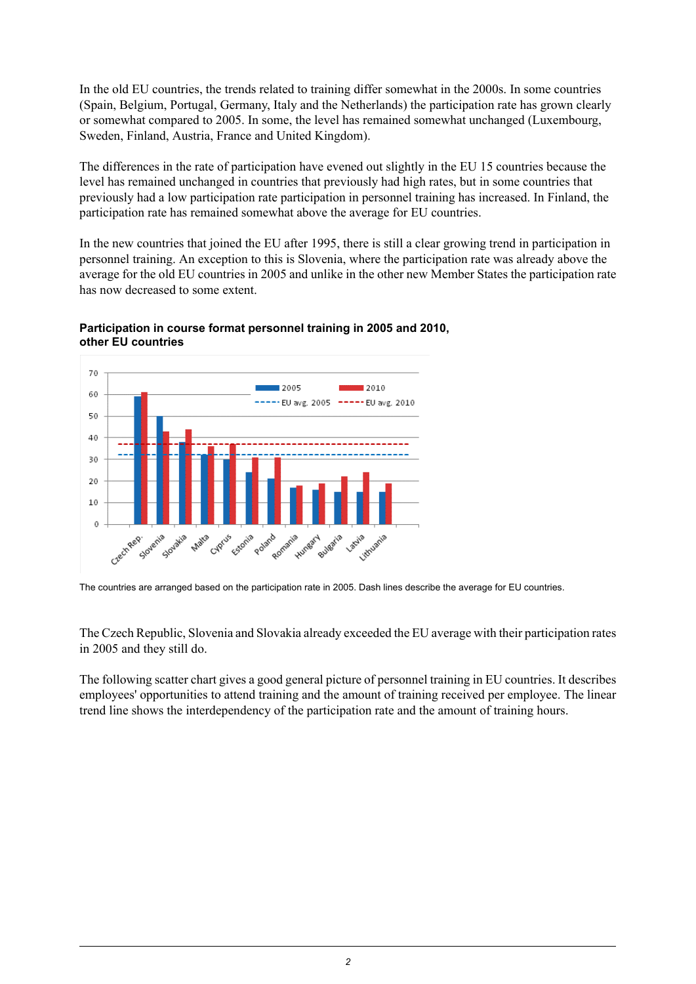In the old EU countries, the trends related to training differ somewhat in the 2000s. In some countries (Spain, Belgium, Portugal, Germany, Italy and the Netherlands) the participation rate has grown clearly or somewhat compared to 2005. In some, the level has remained somewhat unchanged (Luxembourg, Sweden, Finland, Austria, France and United Kingdom).

The differences in the rate of participation have evened out slightly in the EU 15 countries because the level has remained unchanged in countries that previously had high rates, but in some countries that previously had a low participation rate participation in personnel training has increased. In Finland, the participation rate has remained somewhat above the average for EU countries.

In the new countries that joined the EU after 1995, there is still a clear growing trend in participation in personnel training. An exception to this is Slovenia, where the participation rate was already above the average for the old EU countries in 2005 and unlike in the other new Member States the participation rate has now decreased to some extent.



#### **Participation in course format personnel training in 2005 and 2010, other EU countries**

The Czech Republic, Slovenia and Slovakia already exceeded the EU average with their participation rates in 2005 and they still do.

The following scatter chart gives a good general picture of personnel training in EU countries. It describes employees' opportunities to attend training and the amount of training received per employee. The linear trend line shows the interdependency of the participation rate and the amount of training hours.

The countries are arranged based on the participation rate in 2005. Dash lines describe the average for EU countries.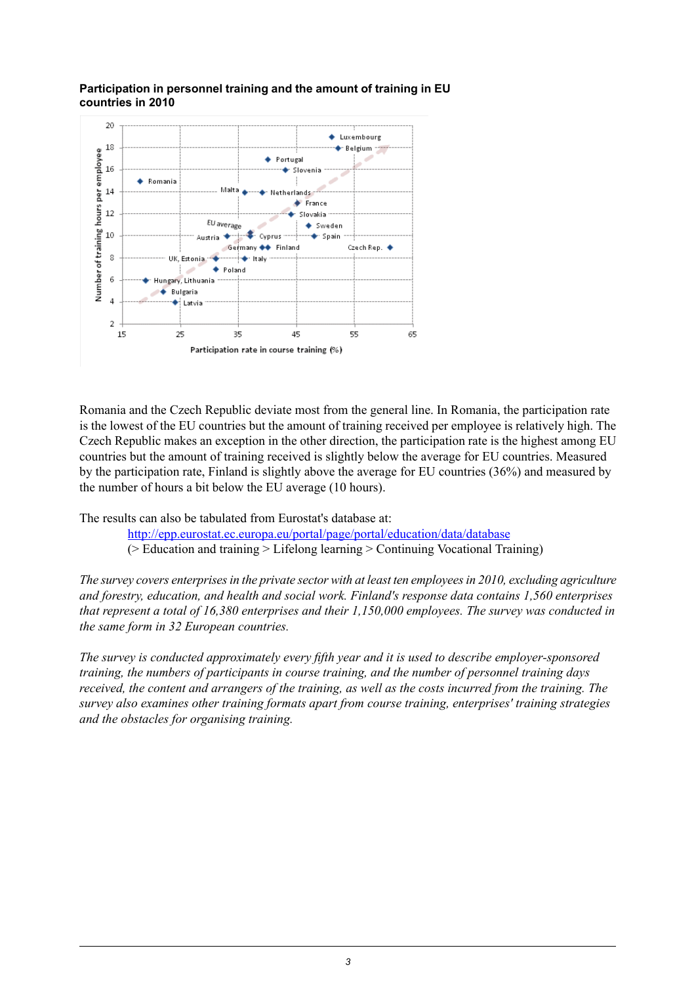

#### **Participation in personnel training and the amount of training in EU countries in 2010**

Romania and the Czech Republic deviate most from the general line. In Romania, the participation rate is the lowest of the EU countries but the amount of training received per employee is relatively high. The Czech Republic makes an exception in the other direction, the participation rate is the highest among EU countries but the amount of training received is slightly below the average for EU countries. Measured by the participation rate, Finland is slightly above the average for EU countries (36%) and measured by the number of hours a bit below the EU average (10 hours).

The results can also be tabulated from Eurostat's database at:

<http://epp.eurostat.ec.europa.eu/portal/page/portal/education/data/database> (> Education and training > Lifelong learning > Continuing Vocational Training)

*The survey covers enterprisesin the private sector with at least ten employeesin 2010, excluding agriculture and forestry, education, and health and social work. Finland's response data contains 1,560 enterprises that represent a total of 16,380 enterprises and their 1,150,000 employees. The survey was conducted in the same form in 32 European countries.*

*The survey is conducted approximately every fifth year and it is used to describe employer-sponsored training, the numbers of participants in course training, and the number of personnel training days* received, the content and arrangers of the training, as well as the costs incurred from the training. The *survey also examines other training formats apart from course training, enterprises' training strategies and the obstacles for organising training.*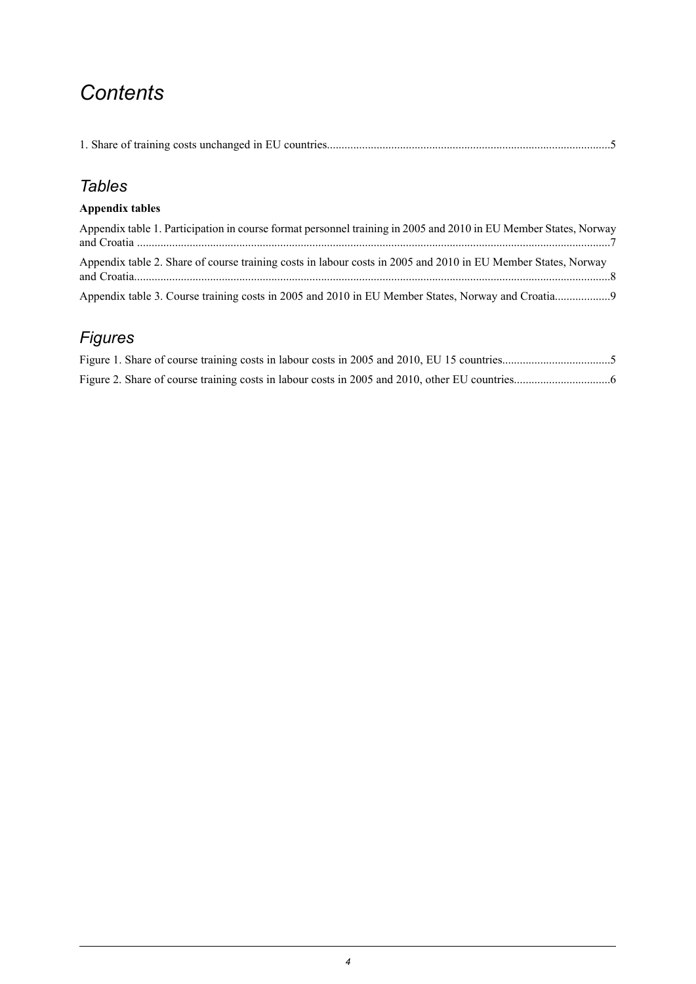## *Contents*

|--|--|

### *Tables*

### **Appendix tables**

| Appendix table 1. Participation in course format personnel training in 2005 and 2010 in EU Member States, Norway |  |
|------------------------------------------------------------------------------------------------------------------|--|
| Appendix table 2. Share of course training costs in labour costs in 2005 and 2010 in EU Member States, Norway    |  |
|                                                                                                                  |  |

### *Figures*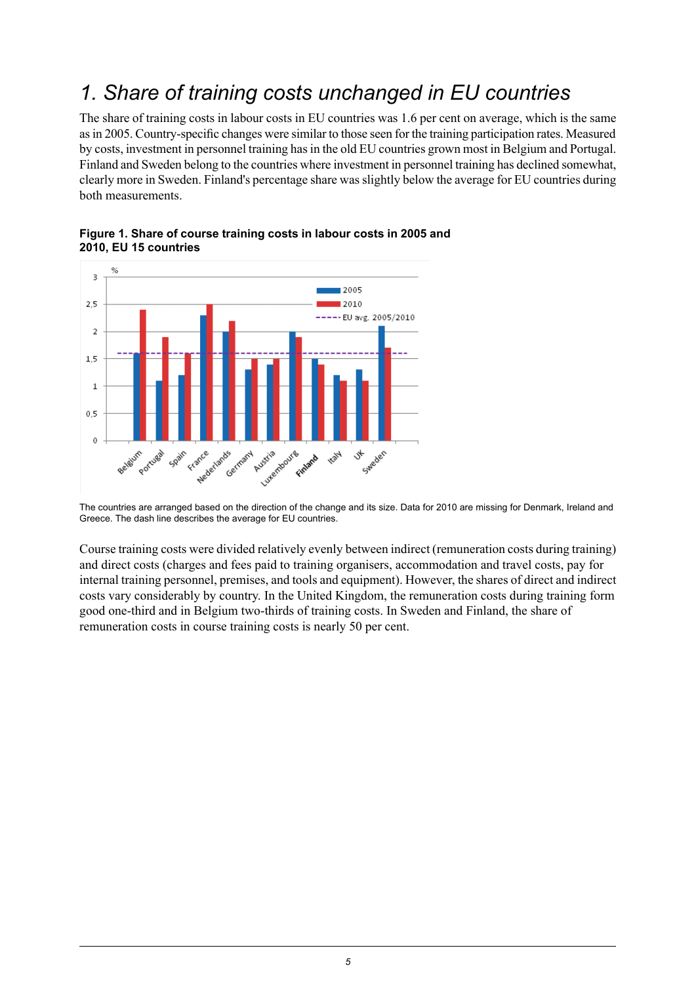## <span id="page-4-0"></span>*1. Share of training costs unchanged in EU countries*

The share of training costs in labour costs in EU countries was 1.6 per cent on average, which is the same asin 2005. Country-specific changes were similar to those seen for the training participation rates. Measured by costs, investment in personnel training hasin the old EU countries grown most in Belgium and Portugal. Finland and Sweden belong to the countries where investment in personnel training has declined somewhat, clearly more in Sweden. Finland's percentage share wasslightly below the average for EU countries during both measurements.



<span id="page-4-1"></span>

The countries are arranged based on the direction of the change and its size. Data for 2010 are missing for Denmark, Ireland and Greece. The dash line describes the average for EU countries.

Course training costs were divided relatively evenly between indirect (remuneration costs during training) and direct costs (charges and fees paid to training organisers, accommodation and travel costs, pay for internal training personnel, premises, and tools and equipment). However, the shares of direct and indirect costs vary considerably by country. In the United Kingdom, the remuneration costs during training form good one-third and in Belgium two-thirds of training costs. In Sweden and Finland, the share of remuneration costs in course training costs is nearly 50 per cent.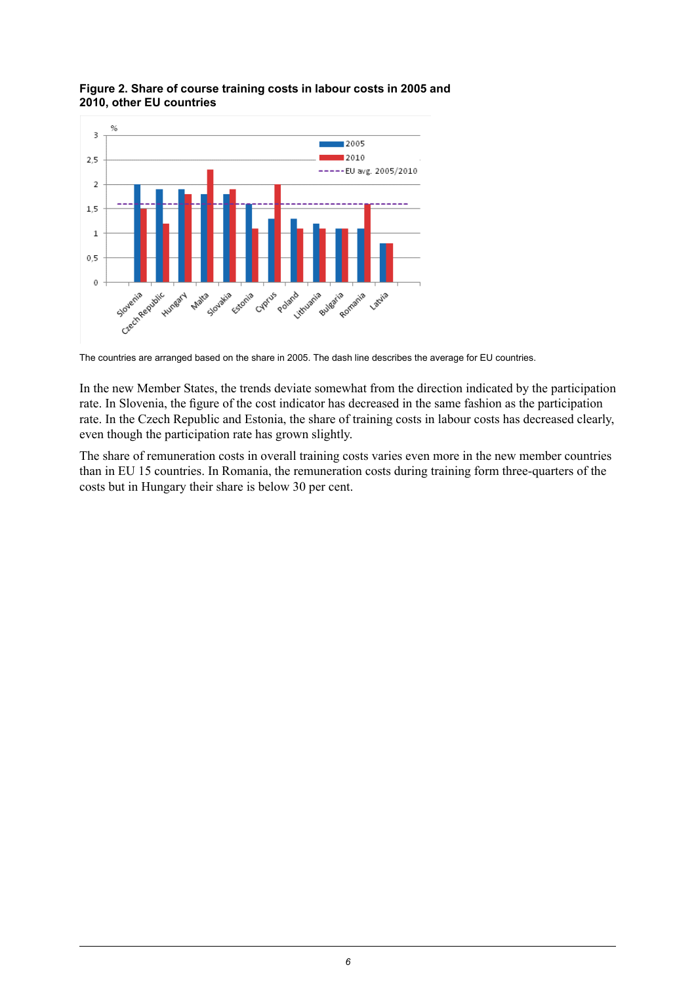

### <span id="page-5-0"></span>**Figure 2. Share of course training costs in labour costs in 2005 and 2010, other EU countries**

The countries are arranged based on the share in 2005. The dash line describes the average for EU countries.

In the new Member States, the trends deviate somewhat from the direction indicated by the participation rate. In Slovenia, the figure of the cost indicator has decreased in the same fashion as the participation rate. In the Czech Republic and Estonia, the share of training costs in labour costs has decreased clearly, even though the participation rate has grown slightly.

The share of remuneration costs in overall training costs varies even more in the new member countries than in EU 15 countries. In Romania, the remuneration costs during training form three-quarters of the costs but in Hungary their share is below 30 per cent.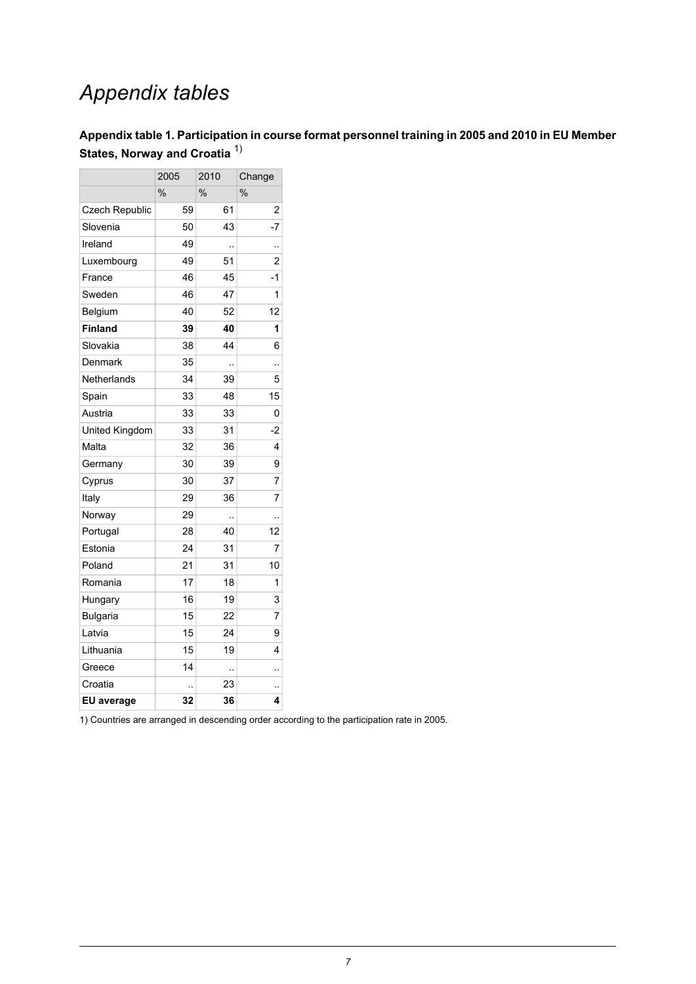# *Appendix tables*

### <span id="page-6-0"></span>**Appendix table 1. Participation in course format personnel training in 2005 and 2010 in EU Member States, Norway and Croatia** 1)

|                   | 2005          | 2010          | Change        |  |
|-------------------|---------------|---------------|---------------|--|
|                   | $\frac{0}{0}$ | $\frac{0}{0}$ | $\frac{0}{0}$ |  |
| Czech Republic    | 59            | 61            | 2             |  |
| Slovenia          | 50            | 43            | -7            |  |
| Ireland           | 49            | .,            |               |  |
| Luxembourg        | 49            | 51            | 2             |  |
| France            | 46            | 45            | $-1$          |  |
| Sweden            | 46            | 47            | 1             |  |
| Belgium           | 40            | 52            | 12            |  |
| <b>Finland</b>    | 39            | 40            | 1             |  |
| Slovakia          | 38            | 44            | 6             |  |
| Denmark           | 35            | ٠.            |               |  |
| Netherlands       | 34            | 39            | 5             |  |
| Spain             | 33            | 48            | 15            |  |
| Austria           | 33            | 33            | 0             |  |
| United Kingdom    | 33            | 31            | -2            |  |
| Malta             | 32            | 36            | 4             |  |
| Germany           | 30            | 39            | 9             |  |
| Cyprus            | 30            | 37            | 7             |  |
| Italy             | 29            | 36            | 7             |  |
| Norway            | 29            |               | .,            |  |
| Portugal          | 28            | 40            | 12            |  |
| Estonia           | 24            | 31            | 7             |  |
| Poland            | 21            | 31            | 10            |  |
| Romania           | 17            | 18            | 1             |  |
| Hungary           | 16            | 19            | 3             |  |
| <b>Bulgaria</b>   | 15            | 22            | 7             |  |
| Latvia            | 15            | 24            | 9             |  |
| Lithuania         | 15            | 19            | 4             |  |
| Greece            | 14            | Ξ.            | ٠.            |  |
| Croatia           | ٠.            | 23            |               |  |
| <b>EU</b> average | 32            | 36            | 4             |  |

1) Countries are arranged in descending order according to the participation rate in 2005.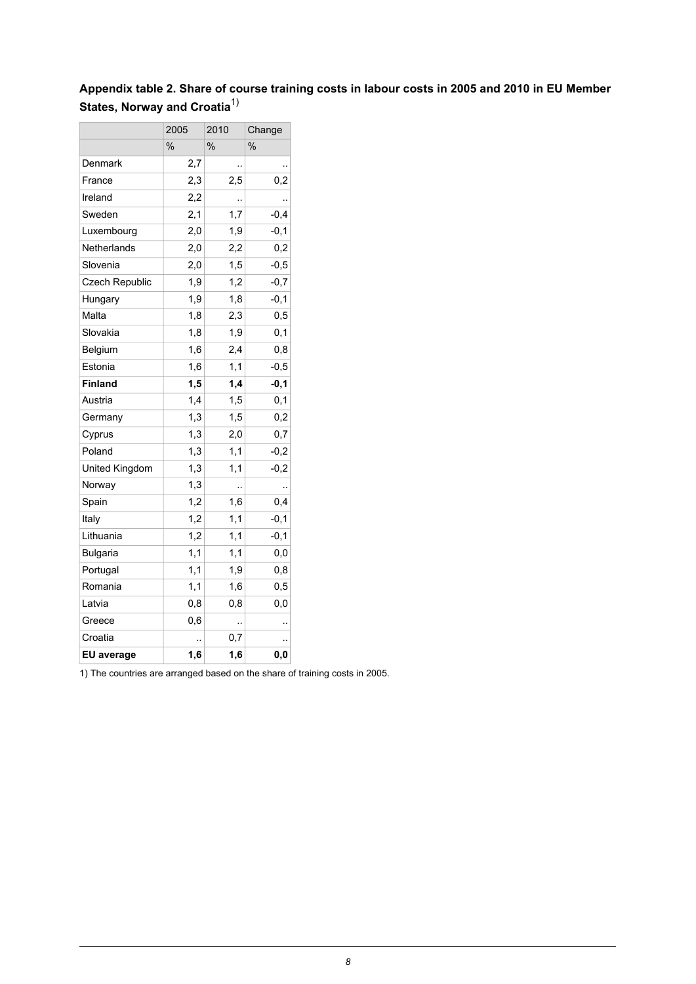### <span id="page-7-0"></span>**Appendix table 2. Share of course training costs in labour costs in 2005 and 2010 in EU Member States, Norway and Croatia**1)

|                       | 2005<br>2010  |               | Change        |  |
|-----------------------|---------------|---------------|---------------|--|
|                       | $\frac{0}{0}$ | $\frac{0}{0}$ | $\frac{0}{0}$ |  |
| Denmark               | 2,7           | ٠.            |               |  |
| France                | 2,3           | 2,5           | 0,2           |  |
| Ireland               | 2,2           |               |               |  |
| Sweden                | 2,1           | 1,7           | $-0,4$        |  |
| Luxembourg            | 2,0           | 1,9           | $-0,1$        |  |
| Netherlands           | 2,0           | 2,2           | 0,2           |  |
| Slovenia              | 2,0           | 1,5           | $-0,5$        |  |
| <b>Czech Republic</b> | 1,9           | 1,2           | $-0,7$        |  |
| Hungary               | 1,9           | 1,8           | $-0,1$        |  |
| Malta                 | 1,8           | 2,3           | 0,5           |  |
| Slovakia              | 1,8           | 1,9           | 0,1           |  |
| Belgium               | 1,6           | 2,4           | 0,8           |  |
| Estonia               | 1,6           | 1,1           | $-0,5$        |  |
| <b>Finland</b>        | 1,5           | 1,4           | $-0,1$        |  |
| Austria               | 1,4           | 1,5           | 0,1           |  |
| Germany               | 1,3           | 1,5           | 0,2           |  |
| Cyprus                | 1,3           | 2,0           | 0,7           |  |
| Poland                | 1,3           | 1,1           | $-0,2$        |  |
| United Kingdom        | 1,3           | 1,1           | $-0,2$        |  |
| Norway                | 1,3           | .,            | .,            |  |
| Spain                 | 1,2           | 1,6           | 0,4           |  |
| Italy                 | 1,2           | 1,1           | $-0,1$        |  |
| Lithuania             | 1,2           | 1,1           | $-0,1$        |  |
| <b>Bulgaria</b>       | 1,1           | 1,1           | 0,0           |  |
| Portugal              | 1,1           | 1,9           | 0,8           |  |
| Romania               | 1,1           | 1,6           | 0,5           |  |
| Latvia                | 0,8           | 0,8           | $_{0,0}$      |  |
| Greece                | 0,6           |               |               |  |
| Croatia               |               | $_{0,7}$      |               |  |
| EU average            | 1,6           | 1,6           | 0,0           |  |

1) The countries are arranged based on the share of training costs in 2005.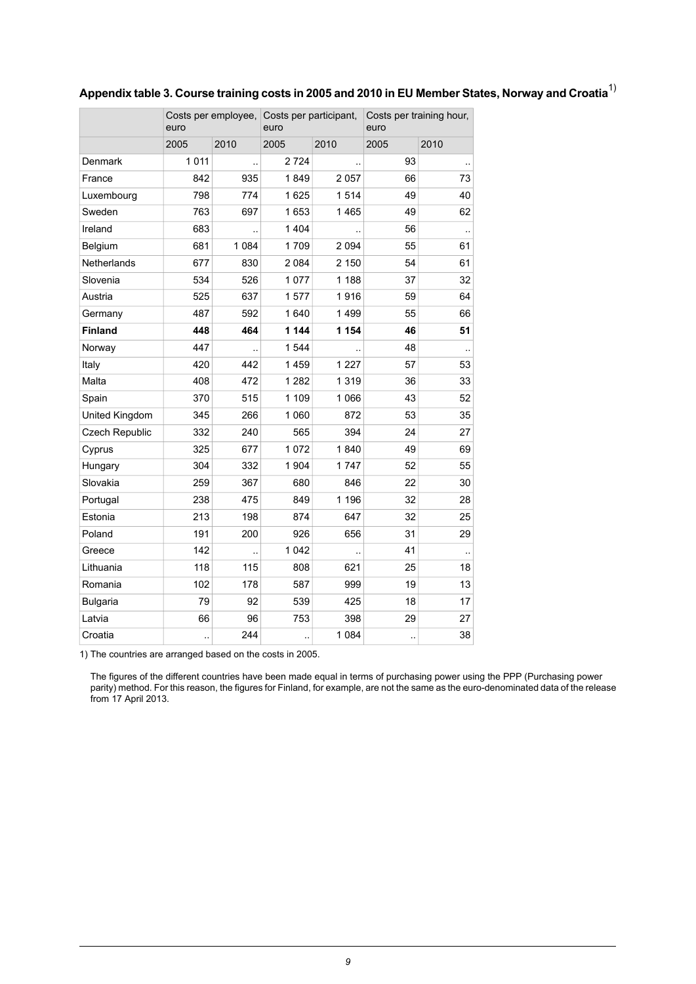<span id="page-8-0"></span>

| Appendix table 3. Course training costs in 2005 and 2010 in EU Member States, Norway and Croatia $^{\text{\tiny{\textsf{I}}}}$ |  |  |
|--------------------------------------------------------------------------------------------------------------------------------|--|--|
|                                                                                                                                |  |  |
|                                                                                                                                |  |  |

|                    | euro |         | Costs per employee, Costs per participant,<br>euro |         | Costs per training hour,<br>euro |                      |
|--------------------|------|---------|----------------------------------------------------|---------|----------------------------------|----------------------|
|                    | 2005 | 2010    | 2005                                               | 2010    | 2005                             | 2010                 |
| <b>Denmark</b>     | 1011 |         | 2 7 2 4                                            |         | 93                               |                      |
| France             | 842  | 935     | 1849                                               | 2057    | 66                               | 73                   |
| Luxembourg         | 798  | 774     | 1625                                               | 1514    | 49                               | 40                   |
| Sweden             | 763  | 697     | 1653                                               | 1465    | 49                               | 62                   |
| Ireland            | 683  |         | 1 4 0 4                                            | μ.      | 56                               | $\ddotsc$            |
| Belgium            | 681  | 1 0 8 4 | 1709                                               | 2094    | 55                               | 61                   |
| <b>Netherlands</b> | 677  | 830     | 2 0 8 4                                            | 2 150   | 54                               | 61                   |
| Slovenia           | 534  | 526     | 1077                                               | 1 1 8 8 | 37                               | 32                   |
| Austria            | 525  | 637     | 1577                                               | 1916    | 59                               | 64                   |
| Germany            | 487  | 592     | 1640                                               | 1499    | 55                               | 66                   |
| <b>Finland</b>     | 448  | 464     | 1 144                                              | 1 154   | 46                               | 51                   |
| Norway             | 447  |         | 1 544                                              |         | 48                               | $\ddot{\phantom{a}}$ |
| Italy              | 420  | 442     | 1459                                               | 1 2 2 7 | 57                               | 53                   |
| Malta              | 408  | 472     | 1 2 8 2                                            | 1319    | 36                               | 33                   |
| Spain              | 370  | 515     | 1 1 0 9                                            | 1 0 6 6 | 43                               | 52                   |
| United Kingdom     | 345  | 266     | 1 0 6 0                                            | 872     | 53                               | 35                   |
| Czech Republic     | 332  | 240     | 565                                                | 394     | 24                               | 27                   |
| Cyprus             | 325  | 677     | 1 0 7 2                                            | 1840    | 49                               | 69                   |
| Hungary            | 304  | 332     | 1 904                                              | 1747    | 52                               | 55                   |
| Slovakia           | 259  | 367     | 680                                                | 846     | 22                               | 30                   |
| Portugal           | 238  | 475     | 849                                                | 1 1 9 6 | 32                               | 28                   |
| Estonia            | 213  | 198     | 874                                                | 647     | 32                               | 25                   |
| Poland             | 191  | 200     | 926                                                | 656     | 31                               | 29                   |
| Greece             | 142  |         | 1 0 4 2                                            | ă.      | 41                               |                      |
| Lithuania          | 118  | 115     | 808                                                | 621     | 25                               | 18                   |
| Romania            | 102  | 178     | 587                                                | 999     | 19                               | 13                   |
| <b>Bulgaria</b>    | 79   | 92      | 539                                                | 425     | 18                               | 17                   |
| Latvia             | 66   | 96      | 753                                                | 398     | 29                               | 27                   |
| Croatia            | .,   | 244     | $\ddot{\phantom{a}}$                               | 1 0 8 4 | $\ddotsc$                        | 38                   |

1) The countries are arranged based on the costs in 2005.

The figures of the different countries have been made equal in terms of purchasing power using the PPP (Purchasing power parity) method. For this reason, the figures for Finland, for example, are not the same as the euro-denominated data of the release from 17 April 2013.